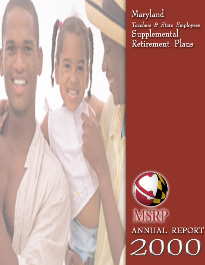Maryland Teachers & State Employees Supplemental<br>Retirement Plans

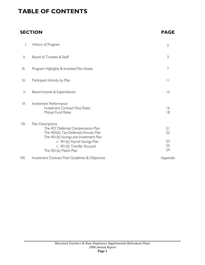# **TABLE OF CONTENTS**

# **SECTION PAGE**

| I.             | History of Program                                                                                                                                                                                                               | $\overline{2}$             |
|----------------|----------------------------------------------------------------------------------------------------------------------------------------------------------------------------------------------------------------------------------|----------------------------|
| $\mathbb{I}$ . | Board of Trustees & Staff                                                                                                                                                                                                        | 3                          |
| $\parallel$    | Program Highlights & Invested Plan Assets                                                                                                                                                                                        | 7                          |
| IV.            | Participant Activity by Plan                                                                                                                                                                                                     | $\vert \vert$              |
| V.             | Board Income & Expenditures                                                                                                                                                                                                      | 15                         |
| VI.            | Investment Performance<br><b>Investment Contract Pool Rates</b><br>Mutual Fund Rates                                                                                                                                             | 16<br> 8                   |
| VII.           | Plan Descriptions<br>The 457 Deferred Compensation Plan<br>The 403(b) Tax-Deferred Annuity Plan<br>The 401(k) Savings and Investment Plan<br>< 401(k) Payroll Savings Plan<br>< 401(k) Transfer Account<br>The 401(a) Match Plan | 21<br>22<br>23<br>25<br>24 |
| VIII.          | Investment Contract Pool Guidelines & Objectives                                                                                                                                                                                 | Appendix                   |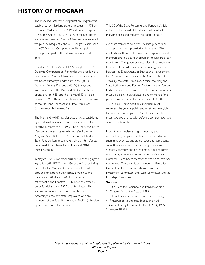# **HISTORY OF PROGRAM**

The Maryland Deferred Compensation Program was established for Maryland state employees in 1974 by Executive Order 01.01.1974.19 and under Chapter 433 of the Acts of 1974. In 1975, enrollment began and a seven-member Board of Trustees administered the plan. Subsequently, the U.S. Congress established the 457 Deferred Compensation Plan for public employees as part of the Internal Revenue Code in 1978.

Chapter 741 of the Acts of 1985 brought the 457 Deferred Compensation Plan under the direction of a nine-member Board of Trustees. The acts also gave the board authority to administer a 403(b) Tax-Deferred Annuity Plan and a 401(k) Savings and Investment Plan. The Maryland 403(b) plan became operational in 1985, and the Maryland 401(k) plan began in 1990. These three plans came to be known as the Maryland Teachers and State Employees Supplemental Retirement Plans.

The Maryland 401(k) transfer account was established by an Internal Revenue Service private letter ruling, effective December 31, 1990. The ruling allows active Maryland state employees who transfer from the Maryland State Retirement System to the Maryland State Pension System to move their transfer refunds, on a tax-deferred basis, to the Maryland 401(k) transfer account.

In May of 1998, Governor Parris N. Glendening signed legislation (HB 987/Chapter 530 of the Acts of 1998) passed by the Maryland General Assembly that provides for, among other things, a match to the state=s 457, 403(b) and 401(k) supplemental retirement plans. Effective July 1, 1999, the match is dollar for dollar up to \$600 each fiscal year. The state=s contributions are immediately vested. According to the law, state employees who are members of the State Employees AModified@ Pension System are eligible for the match.

Title 35 of the State Personnel and Pensions Article authorizes the Board of Trustees to administer the Maryland plans and requires the board to pay all

expenses from fees collected. A state general fund appropriation is not provided in this statute. This article also authorizes the governor to appoint board members and the board chairperson to staggered fouryear terms. The governor must select three members from any of the following departments, agencies or boards: the Department of Budget and Management, the Department of Education, the Comptroller of the Treasury, the State Treasurer's Office, the Maryland State Retirement and Pension Systems or the Maryland Higher Education Commission. Three other members must be eligible to participate in one or more of the plans, provided that at least one is eligible for the 403(b) plan. Three additional members must represent the general public and must not be eligible to participate in the plans. One of these members must have experience with deferred compensation and salary reduction plans.

In addition to implementing, maintaining and administering the plans, the board is responsible for submitting progress and status reports to participants; submitting an annual report to the governor and General Assembly; appointing employees; and hiring consultants, administrators and other professional assistance. Each board member serves on at least one committee. The committees include the Executive Committee, the Communications Committee, the Investment Committee, the Audit Committee and the Hardship Committee.

#### **Sources:**

- 1. Title 35 of the Personnel and Pensions Article
- 2. Chapter 741 of the Acts of 1985
- 3. Internal Revenue Service Private Letter Ruling
- 4. Presentation to the Joint Budget and Audit Committee by H. Louis Stettler, III, Ph.D., 1985.
- 5. House Bill 987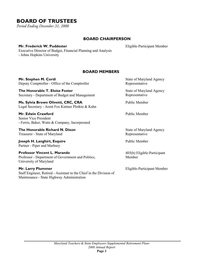# **BOARD OF TRUSTEES**

*Period Ending December 31, 2000*

## **BOARD CHAIRPERSON**

## **Mr. Frederick W. Puddester**

Executive Director of Budget, Financial Planning and Analysis - Johns Hopkins University

## **BOARD MEMBERS**

**Mr. Stephen M. Cordi** Deputy Comptroller - Office of the Comptroller

**The Honorable T. Eloise Foster** Secretary - Department of Budget and Management

**Ms. Sylvia Brown Olivetti, CRC, CRA** Legal Secretary - Arent Fox Kintner Plotkin & Kahn

**Mr. Edwin Crawford** Senior Vice President - Ferris, Baker, Watts & Company, Incorporated

**The Honorable Richard N. Dixon**  Treasurer - State of Maryland

**Joseph H. Langhirt, Esquire** Partner - Piper and Marbury

**Professor Vincent L. Marando** Professor - Department of Government and Politics, University of Maryland

## **Mr. Larry Plummer**

Staff Engineer, Retired - Assistant to the Chief in the Division of Maintenance - State Highway Administration

State of Maryland Agency Representative

Eligible-Participant Member

State of Maryland Agency Representative

Public Member

Public Member

State of Maryland Agency Representative

Public Member

403(b) Eligible-Participant Member

Eligible-Participant Member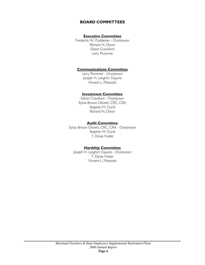## **BOARD COMMITTEES**

## **Executive Committee**

Frederick W. Puddester - *Chairperson*  Richard N. Dixon Edwin Crawford Larry Plummer

## **Communications Committee**

Larry Plummer - *Chairperson* Joseph H. Langhirt, Esquire Vincent L. Marando

## **Investment Committee**

Edwin Crawford - *Chairperson* Sylvia Brown Olivetti, CRC, CRA Stephen M. Cordi Richard N. Dixon

## **Audit Committee**

Sylvia Brown Olivetti, CRC, CRA - *Chairperson* Stephen M. Cordi T. Eloise Foster

## **Hardship Committee**

Joseph H. Langhirt, Esquire - *Chairperson*  T. Eloise Foster Vincent L. Marando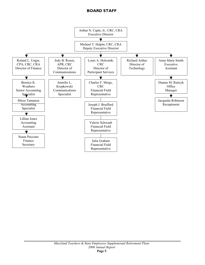## **BOARD STAFF**

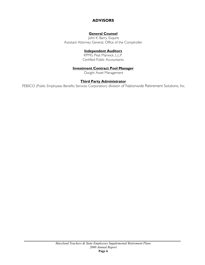## **ADVISORS**

## **General Counsel**

 John K. Barry, Esquire Assistant Attorney General, Office of the Comptroller

## **Independent Auditors**

KPMG Peat Marwick, L.L.P. Certified Public Accountants

## **Investment Contract Pool Manager**

Dwight Asset Management

## **Third Party Administrator**

PEBSCO (Public Employees Benefits Services Corporation) division of Nationwide Retirement Solutions, Inc.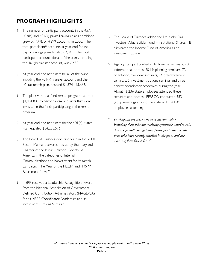# **PROGRAM HIGHLIGHTS**

- \$ The number of participant accounts in the 457, 403(b) and 401(k) payroll savings plans combined grew by 7.4%, or 4,299 accounts, in 2000. The total participant\* accounts at year end for the payroll savings plans totaled 62,043. The total participant accounts for all of the plans, including the 401(k) transfer account, was 62,581.
- \$ At year end, the net assets for all of the plans, including the 401(k) transfer account and the 401(a) match plan, equaled \$1,574,445,663.
- \$ The plans= mutual fund rebate program returned \$1,481,832 to participants= accounts that were invested in the funds participating in the rebate program.
- \$ At year end, the net assets for the 401(a) Match Plan, equaled \$34,283,596.
- \$ The Board of Trustees won first place in the 2000 Best In Maryland awards hosted by the Maryland Chapter of the Public Relations Society of America in the categories of Internal Communications and Newsletters for its match campaign, "The Year of the Match" and "MSRP Retirement News".
- \$ MSRP received a Leadership Recognition Award from the National Association of Government Defined Contribution Administrators (NAGDCA) for its MSRP Coordinator Academies and its Investment Options Seminar.
- \$ The Board of Trustees added the Deutsche Flag Investors Value Builder Fund – Institutional Shares. It eliminated the Income Fund of America as an investment option.
- \$ Agency staff participated in 16 financial seminars, 200 informational booths, 60 life-planning seminars, 73 orientation/overview seminars, 74 pre-retirement seminars, 5 investment options seminar and three benefit coordinator academies during the year. About 16,236 state employees attended these seminars and booths. PEBSCO conducted 953 group meetings around the state with 14,150 employees attending.
- *\* Participants are those who have account values, including those who are receiving systematic withdrawals. For the payroll savings plans, participants also include those who have recently enrolled in the plans and are awaiting their first deferral.*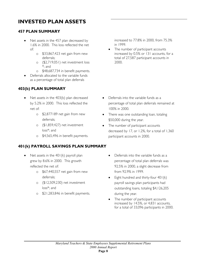# **INVESTED PLAN ASSETS**

# **457 PLAN SUMMARY**

- Net assets in the 457 plan decreased by 1.6% in 2000. This loss reflected the net of:
	- o \$33,867,423 net gain from new deferrals;
	- o (\$2,719,051) net investment loss \*; and
	- o \$48,687,734 in benefit payments.
- Deferrals allocated to the variable funds as a percentage of total plan deferrals

# **403(b) PLAN SUMMARY**

- Net assets in the 403(b) plan decreased by 5.2% in 2000. This loss reflected the net of:
	- o \$2,877189 net gain from new deferrals;
	- o (\$1,859,427) net investment loss\*; and
	- o \$4,565,496 in benefit payments.

## **401(k) PAYROLL SAVINGS PLAN SUMMARY**

- Net assets in the  $401(k)$  payroll plan grew by 8.6% in 2000. This growth reflected the net of:
	- o \$67,440,557 net gain from new deferrals;
	- o (\$12,509,230) net investment loss\*; and
	- o \$21,283,846 in benefit payments.

increased to 77.8% in 2000, from 75.3% in 1999.

The number of participant accounts increased by 0.5% or 131 accounts, for a total of 27,587 participant accounts in 2000.

- Deferrals into the variable funds as a percentage of total plan deferrals remained at 100% in 2000.
- There was one outstanding loan, totaling \$50,000 during the year.
- The number of participant accounts decreased by 17, or 1.2%, for a total of 1,360 participant accounts in 2000.
	- Deferrals into the variable funds as a percentage of total plan deferrals was 92.5% in 2000, a slight decrease from from 92.9% in 1999.
	- Eight hundred and thirty-four 401(k) payroll savings plan participants had outstanding loans, totaling \$4,126,205 during the year.
	- The number of participant accounts increased by 14.5%, or 4,831 accounts, for a total of 33,096 participants in 2000.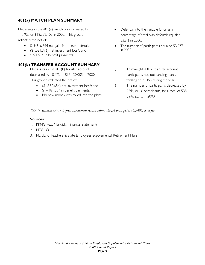# **401(a) MATCH PLAN SUMMARY**

Net assets in the 401(a) match plan increased by 117.9%, or \$18,552,105 in 2000. This growth reflected the net of:

- \$19,916,744 net gain from new deferrals;
- (\$1,021,376) net investment loss\*; and
- \$271,514 in benefit payments.

## **401(k) TRANSFER ACCOUNT SUMMARY**

Net assets in the 401(k) transfer account decreased by 10.4%, or \$15,130,005 in 2000. This growth reflected the net of:

- (\$1,330,686) net investment loss\*; and
- \$14,181,557 in benefit payments.
- No new money was rolled into the plans
- Deferrals into the variable funds as a percentage of total plan deferrals equaled 83.8% in 2000.
- The number of participants equaled 53,237 in 2000
- \$ Thirty-eight 401(k) transfer account participants had outstanding loans, totaling \$498,455 during the year.
- \$ The number of participants decreased by 2.9%, or 16 participants, for a total of 538 participants in 2000.

## *\*Net investment return is gross investment return minus the 34 basis point (0.34%) asset fee.*

## **Sources:**

- 1. KPMG Peat Marwick. Financial Statements.
- 2. PEBSCO.
- 3. Maryland Teachers & State Employees Supplemental Retirement Plans.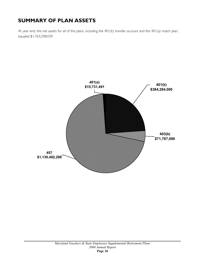# **SUMMARY OF PLAN ASSETS**

At year end, the net assets for all of the plans, including the 401(k) transfer account and the 401(a) match plan, equaled \$1,763,298,039.

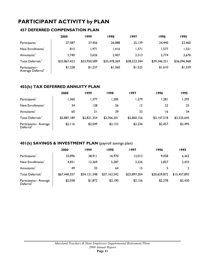# **PARTICIPANT ACTIVITY by PLAN**

## **457 DEFERRED COMPENSATION PLAN**

|                                                | 2000         | 1999         | 1998         | 1997         | 1996         | 1995         |
|------------------------------------------------|--------------|--------------|--------------|--------------|--------------|--------------|
| Participants                                   | 27,587       | 27,456       | 26,088       | 25,139       | 24,440       | 23,460       |
| New Enrollments'                               | 815          | 1.971        | 1.416        | 1,371        | 1,577        | 1,321        |
| Annuitants <sup>2</sup>                        | 3,740        | 3,626        | 2.407        | 3.313        | 2.774        | 2,676        |
| Total Deferrals <sup>3</sup>                   | \$33,867,423 | \$33,950,589 | \$35,478,369 | \$38,323,344 | \$39,346,321 | \$36,096,968 |
| Participants=<br>Average Deferral <sup>4</sup> | \$1,228      | \$1,237      | \$1,360      | \$1,525      | \$1,610      | \$1,539      |

## **403(b) TAX DEFERRED ANNUITY PLAN**

|                                                 | 2000        | 1999        | 1998        | 1997        | 1996        | 1995        |
|-------------------------------------------------|-------------|-------------|-------------|-------------|-------------|-------------|
| Participants                                    | 1,360       | 1,377       | 285, ا      | 279, ا      | ا 28, ا     | 1,293       |
| New Enrollments'                                | 34          | 128         | 26          | 12          | 23          | 25          |
| Annuitants <sup>2</sup>                         | 60          | 51          | 39          | 33          | 16          | 34          |
| Total Deferrals <sup>3</sup>                    | \$2,887,189 | \$2,821,354 | \$2,766,201 | \$2,860,156 | \$3,147,518 | \$3,225,645 |
| Participants = Average<br>Deferral <sup>4</sup> | \$2,116     | \$2,049     | \$2,153     | \$2,236     | \$2,457     | \$2,495     |

## **401(k) SAVINGS & INVESTMENT PLAN** (payroll savings plan)

|                                                 | 2000         | 1999         | 1998         | 1997         | 1996         | 1995         |
|-------------------------------------------------|--------------|--------------|--------------|--------------|--------------|--------------|
| Participants                                    | 33,096       | 28.911       | 16,970       | 12,012       | 9,058        | 6,362        |
| New Enrollments'                                | 4,831        | 12,369       | 5,287        | 3,226        | 2,857        | 2,433        |
| Annuitants <sup>4</sup>                         | 49           | 35           | 64           | 15           |              | $\mathbf{2}$ |
| Total Deferrals <sup>3</sup>                    | \$67,440,557 | \$54,121,348 | \$37,163,542 | \$25,897,204 | \$20,629,872 | \$15,457,893 |
| Participants = Average<br>Deferral <sup>4</sup> | \$2,038      | \$1,872      | \$2,190      | \$2,156      | \$2,278      | \$2,430      |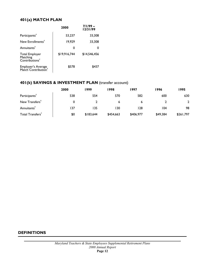## **401(a) MATCH PLAN**

|                                                                 | 2000         | $7/1/99 -$<br>12/31/99 |
|-----------------------------------------------------------------|--------------|------------------------|
| Participants <sup>4</sup>                                       | 53,237       | 33,308                 |
| New Enrollments <sup>4</sup>                                    | 19,929       | 33,308                 |
| Annuitants <sup>4</sup>                                         | 0            |                        |
| <b>Total Employer</b><br>Matching<br>Contributions <sup>3</sup> | \$19,916,744 | \$14.546,456           |
| Employer's Average<br>Match Contribution <sup>4</sup>           | \$578        | \$437                  |

## **401(k) SAVINGS & INVESTMENT PLAN** (transfer account)

|                              | 2000 | 1999      | 1998      | 1997      | 1996     | 1995         |
|------------------------------|------|-----------|-----------|-----------|----------|--------------|
| Participants <sup>4</sup>    | 538  | 554       | 570       | 582       | 600      | 630          |
| New Transfers <sup>4</sup>   |      |           | 6         | ь         |          | $\mathbf{2}$ |
| Annuitants <sup>7</sup>      | 137  | 135       | 130       | 128       | 104      | 98           |
| Total Transfers <sup>3</sup> | \$0  | \$183,644 | \$454,663 | \$406,977 | \$49,384 | \$261,797    |

## **DEFINITIONS**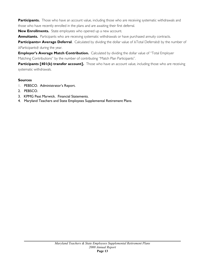Participants. Those who have an account value, including those who are receiving systematic withdrawals and those who have recently enrolled in the plans and are awaiting their first deferral.

**New Enrollments.** State employees who opened up a new account.

**Annuitants.** Participants who are receiving systematic withdrawals or have purchased annuity contracts.

**Participants= Average Deferral.** Calculated by dividing the dollar value of ATotal Deferrals@ by the number of AParticipants@ during the year.

**Employer's Average Match Contribution.** Calculated by dividing the dollar value of "Total Employer Matching Contributions" by the number of contributing "Match Plan Participants".

**Participants [401(k) transfer account].** Those who have an account value, including those who are receiving systematic withdrawals.

## **Sources**

- 1. PEBSCO. Administrator's Report.
- 2. PEBSCO.
- 3. KPMG Peat Marwick. Financial Statements.
- 4. Maryland Teachers and State Employees Supplemental Retirement Plans.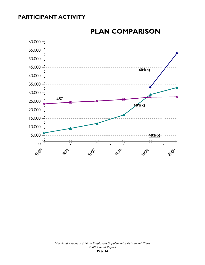# **PARTICIPANT ACTIVITY**



# **PLAN COMPARISON**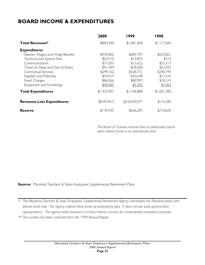# **BOARD INCOME & EXPENDITURES**

|                                     | 2000           | 1999            | 1998        |
|-------------------------------------|----------------|-----------------|-------------|
| <b>Total Revenues*</b>              | \$883,440      | \$1,081,848     | \$1,117,669 |
| <b>Expenditures</b>                 |                |                 |             |
| Salaries, Wages and Fringe Benefits | \$939,862      | \$685,707       | \$623,001   |
| Technical and Special Fees          | (\$2,014)      | \$10,833        | \$310       |
| Communications                      | \$31,003       | \$13,622        | \$25,313    |
| Travel (In-State and Out-of-State)  | \$41,344       | \$39,058        | \$22,047    |
| Contractual Services                | \$249,162      | \$328,731       | \$240,795   |
| Supplies and Materials              | \$42,019       | \$20,638        | \$12,341    |
| <b>Fixed Charges</b>                | \$86,066       | \$80,907        | \$76,514    |
| Equipment and Furnishings           | \$45,465       | \$5,392         | \$1,063     |
| <b>Total Expenditures</b>           | \$1,432,907    | \$1,184,888     | \$1,001,384 |
| <b>Revenues Less Expenditures</b>   | $($ \$549,467) | $($103,043)$ ** | \$116,285   |
| <b>Reserve</b>                      | \$139,435      | \$566,295       | \$718,659   |

*The Board of Trustees reduced fees to deliberately spend down reserve funds to an appropriate level.* 

**Source:** Maryland Teachers & State Employees Supplemental Retirement Plans.

*\* The Maryland Teachers & State Employees Supplemental Retirement Agency administers the Maryland plans with special funds only. The agency collects these funds as participants fees. It does not use state general fund appropriations. The agency holds revenues in a board reserve account for unanticipated necessary expenses. \*\* This number has been corrected from the 1999 Annual Report.*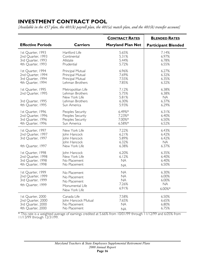# **INVESTMENT CONTRACT POOL**

*[Available in the 457 plan, the 401(k) payroll plan, the 401(a) match plan, and the 401(k) transfer account]*

|                                                                                  |                                                                                         | <b>CONTRACT RATES</b>                                 | <b>BLENDED RATES</b>                           |
|----------------------------------------------------------------------------------|-----------------------------------------------------------------------------------------|-------------------------------------------------------|------------------------------------------------|
| <b>Effective Periods</b>                                                         | <b>Carriers</b>                                                                         | <b>Maryland Plan Net</b>                              | <b>Participant Blended</b>                     |
| 1st Quarter, 1993                                                                | Hartford Life                                                                           | 5.65%                                                 | 7.14%                                          |
| 2nd Quarter, 1993                                                                | Continental                                                                             | 5.31%                                                 | 6.97%                                          |
| 3rd Quarter, 1993                                                                | Allstate                                                                                | 5.44%                                                 | 6.78%                                          |
| 4th Quarter, 1993                                                                | Prudential                                                                              | 5.72%                                                 | 6.55%                                          |
| 1st Quarter, 1994                                                                | Principal Mutual                                                                        | 6.96%                                                 | 6.27%                                          |
| 2nd Quarter, 1994                                                                | Principal Mutual                                                                        | 7.69%                                                 | 6.32%                                          |
| 3rd Quarter, 1994                                                                | Principal Mutual                                                                        | 7.55%                                                 | 6.35%                                          |
| 4th Quarter, 1994                                                                | Lehman Brothers                                                                         | 7.85%                                                 | 6.32%                                          |
| 1st Quarter, 1995<br>2nd Quarter, 1995<br>3rd Quarter, 1995<br>4th Quarter, 1995 | Metropolitan Life<br>Lehman Brothers<br>New York Life<br>Lehman Brothers<br>Sun America | 7.12%<br>5.75%<br>5.81%<br>6.30%<br>5.93%             | 6.38%<br>6.38%<br><b>NA</b><br>6.37%<br>6.29%  |
| 1st Quarter, 1996                                                                | Peoples Security                                                                        | 6.49%*                                                | 6.31%                                          |
| 2nd Quarter, 1996                                                                | Peoples Security                                                                        | 7.23%*                                                | 6.40%                                          |
| 3rd Quarter, 1996                                                                | Peoples Security                                                                        | 7.00%*                                                | 6.50%                                          |
| 4th Quarter, 1996                                                                | Sun America                                                                             | 6.58%*                                                | 6.52%                                          |
| 1st Quarter, 1997<br>2nd Quarter, 1997<br>3rd Quarter, 1997<br>4th Quarter, 1997 | New York Life<br>John Hancock<br>John Hancock<br>John Hancock<br>New York Life          | 7.22%<br>6.21%<br>5.89%<br>6.32%<br>6.38%             | 6.43%<br>6.42%<br>6.42%<br><b>NA</b><br>6.37%  |
| 1st Quarter, 1998                                                                | John Hancock                                                                            | 6.20%                                                 | 6.35%                                          |
| 2nd Quarter, 1998                                                                | New York Life                                                                           | 6.12%                                                 | 6.40%                                          |
| 3rd Quarter, 1998                                                                | No Placement                                                                            | <b>NA</b>                                             | 6.40%                                          |
| 4th Quarter, 1998                                                                | No Placement                                                                            | <b>NA</b>                                             | 6.50%                                          |
| 1st Quarter, 1999<br>2nd Quarter, 1999<br>3rd Quarter, 1999<br>4th Quarter, 1999 | No Placement<br>No Placement<br>No Placement<br>Monumental Life<br>New York Life        | <b>NA</b><br><b>NA</b><br><b>NA</b><br>7.26%<br>6.91% | 6.30%<br>6.00%<br>6.00%<br><b>NA</b><br>6.00%* |
| 1st Quarter, 2000                                                                | Canada Life                                                                             | 7.58%                                                 | 6.50%                                          |
| 2nd Quarter, 2000                                                                | John Hancock Mutual                                                                     | 7.65%                                                 | 6.65%                                          |
| 3rd Quarter, 2000                                                                | No Placement                                                                            | <b>NA</b>                                             | 6.80%                                          |
| 4th Quarter, 2000                                                                | No Placement                                                                            | <b>NA</b>                                             | 6.75%                                          |

\* This rate is a weighted average of earnings credited at 5.66% from 10/01/99 through 11/12/99 and 6.05% from 11/13/99 through 12/31/99.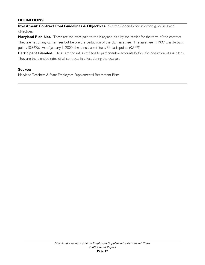## **DEFINITIONS**

**Investment Contract Pool Guidelines & Objectives.** See the Appendix for selection guidelines and objectives.

Maryland Plan Net. These are the rates paid to the Maryland plan by the carrier for the term of the contract. They are net of any carrier fees but before the deduction of the plan asset fee. The asset fee in 1999 was 36 basis points (0.36%). As of January 1, 2000, the annual asset fee is 34 basis points (0.34%)

Participant Blended. These are the rates credited to participants= accounts before the deduction of asset fees. They are the blended rates of all contracts in effect during the quarter.

## **Source:**

Maryland Teachers & State Employees Supplemental Retirement Plans.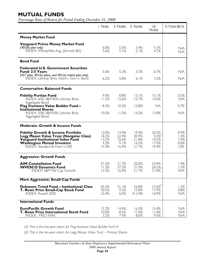# **MUTUAL FUNDS**

*Percentage Rates of Return for Period Ending December 31, 2000*

|                                                                                                                                                                                                             | I YEAR                                   | 3 YEARS                                  | 5 YEARS                                   | $\overline{0}$<br><b>YEARS</b>                    | <b>5-YEAR BETA</b>                   |
|-------------------------------------------------------------------------------------------------------------------------------------------------------------------------------------------------------------|------------------------------------------|------------------------------------------|-------------------------------------------|---------------------------------------------------|--------------------------------------|
| <b>Money Market Fund</b>                                                                                                                                                                                    |                                          |                                          |                                           |                                                   |                                      |
| <b>Vanguard Prime Money Market Fund</b><br>$[403(\bar{b})$ plan only]<br>INDEX: iMoneyNet Avg. (formerly IBC)                                                                                               | 6.0%<br>5.6%                             | 5.5%<br>5.1%                             | 5.4%<br>5.1%                              | 5.1%<br>4.7%                                      | N/A<br>N/A                           |
| <b>Bond Fund</b>                                                                                                                                                                                            |                                          |                                          |                                           |                                                   |                                      |
| <b>Federated U.S. Government Securities</b><br>Fund: 2-5 Years<br>[457 plan, 401(k) plans, and 401(a) match plan only]<br>INDEX: Lehman Bros. Interm. Gov=t. Bond                                           | 5.6%<br>6.2%                             | 5.2%<br>5.8%                             | 5.5%<br>6.1%                              | 6.7%<br>7.2%                                      | N/A<br>N/A                           |
| <b>Conservative: Balanced Funds</b>                                                                                                                                                                         |                                          |                                          |                                           |                                                   |                                      |
| <b>Fidelity Puritan Fund</b><br>INDEX: 60% S&P/40% Lehman Bros.<br>Aggregate Bond                                                                                                                           | 9.0%<br>11.2%                            | 8.8%<br>12.6%                            | 13.1%<br>15.7%                            | 15.1%<br>15.0%                                    | 0.5%<br>N/A                          |
| <b>Flag Investors Value Builder Fund -</b><br><b>Institutional Shares</b>                                                                                                                                   | 8.3%                                     | 10.2%                                    | 15.8%(1)                                  | NА                                                | 0.7%                                 |
| INDEX: 50% S&P/50% Lehman Bros.<br>Aggregate Bond                                                                                                                                                           | 10.5%                                    | 11.5%                                    | 14.2%                                     | 13.8%                                             | N/A                                  |
| <b>Moderate: Growth &amp; Income Funds</b>                                                                                                                                                                  |                                          |                                          |                                           |                                                   |                                      |
| <b>Fidelity Growth &amp; Income Portfolio</b><br><b>Legg Mason Value Trust (Navigator Class)</b><br>Vanguard Institutional Index Fund<br><b>Washington Mutual Investors</b><br>INDEX: Standard & Poor=s 500 | 13.0%<br>18.2%<br>13.5%<br>4.3%<br>13.3% | 14.4%<br>22.4%<br>16.6%<br>9.1%<br>16.4% | 19.4%<br>30.9%<br>21.8%<br>16.5%<br>21.7% | 20.2%<br>$4.3\%^{(2)}$<br>19.5%<br>17.0%<br>19.4% | 0.9%<br>1.3%<br>1.0%<br>0.6%<br>1.0% |
| <b>Aggressive: Growth Funds</b>                                                                                                                                                                             |                                          |                                          |                                           |                                                   |                                      |
| <b>AIM Constellation Fund</b><br><b>INVESCO Dynamics Fund</b><br><b>INDEX: S&amp;P Mid Cap Growth</b>                                                                                                       | 57.2%<br>71.3%<br>13.3%                  | 21.7%<br>37.3%<br>16.4%                  | 20.0%<br>31.9%<br>21.7%                   | 24.9%<br>28.5%<br>21.8%                           | 1.4%<br>1.5%<br>N/A                  |
| More Aggressive: Small-Cap Funds                                                                                                                                                                            |                                          |                                          |                                           |                                                   |                                      |
| <b>Delaware Trend Fund - Institutional Class</b><br>T. Rowe Price Small-Cap Stock Fund<br><b>INDEX: Russell 2000</b>                                                                                        | 65.2%<br>30.5%<br>23.4%                  | 31.1%<br>9.2%<br>6.0%                    | 26.8%<br>15.8%<br>312.4%                  | $27.6\%$<br>17.9%<br>16.9%                        | 1.2%<br>0.8%<br>N/A                  |
| <b>International Funds</b>                                                                                                                                                                                  |                                          |                                          |                                           |                                                   |                                      |
| <b>EuroPacific Growth Fund</b><br><b>T. Rowe Price International Stock Fund</b><br><b>INDEX: MSCI EAFE</b>                                                                                                  | 15.2%<br>10.0%<br>3.2%                   | 14.4%<br>8.5%<br>7.4%                    | 16.3%<br>11.0%<br>8.6%                    | 15.4%<br>11.8%<br>9.6%                            | N/A<br>N/A<br>N/A                    |

*(1) This is the five-year return for Flag Investors Value Builder Fund A* 

*(2) This is the ten-year return for Legg Mason Value Trust – Primary Shares*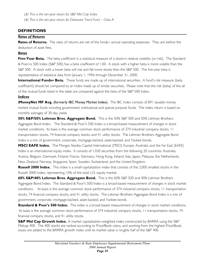*(3) This is the ten-year return for S&P Mid Cap Index* 

*(4) This is the ten-year return for Delaware Trend Fund – Class A* 

## **DEFINITIONS**

## *Rates of Returns*

**Rates of Returns.** The rates of returns are net of the funds= annual operating expenses. They are before the deduction of asset fees.

## *Betas*

Five-Year Beta. The beta coefficient is a statistical measure of a stock=s relative volatility (or risk). The Standard & Poor=s 500 Index (S&P 500) has a beta coefficient of 1.00. A stock with a higher beta is more volatile than the S&P 500. A stock with a lower beta will rise and fall more slowly than the S&P 500. The five-year beta is representative of statistical data from January 1, 1996 through December 31, 2000.

**International Funds= Beta.** These funds are made up of international securities. A fund's risk measure (beta coefficient) should be compared to an index made up of similar securities. Please note that the risk (beta) of the all of the mutual funds listed in the table are compared against the beta of the S&P 500 Index.

## *Indices*

**iMoneyNet MF Avg.** (formerly IBC Money Market Index). The IBC Index consists of 891 taxable money market mutual funds including government, institutional and special purpose funds. The index return is based on monthly averages of 30-day yields.

**50% S&P/50% Lehman Bros. Aggregate Bond.** This is the 50% S&P 500 and 50% Lehman Brothers Aggregate Bond Index. The Standard & Poor's 500 Index is a broad-based measurement of changes in stock market conditions. Its basis is the average common stock performance of 374 industrial company stocks, 11 transportation stocks, 74 financial company stocks, and 41 utility stocks. The Lehman Brothers Aggregate Bond Index is a mix of government, corporate, mortgage-backed, asset-backed, and Yankee bonds.

**MSCI EAFE Index.** The Morgan Stanley Capital International (MSCI) Europe, Australia, and the Far East (EAFE) Index is an international equity index. It consists of 1,030 securities from the following 20 countries: Australia, Austria, Belgium, Denmark, Finland, France, Germany, Hong Kong, Ireland, Italy, Japan, Malaysia, the Netherlands, New Zealand, Norway, Singapore, Spain, Sweden, Switzerland, and the United Kingdom.

**Russell 2000 Index.** This index is a small-capitalization index that consists of the 2,000 smallest stocks in the Russell 3000 Index, representing 10% of the total U.S. equity market.

**60% S&P/40% Lehman Bros. Aggregate Bond.** This is the 60% S&P 500 and 40% Lehman Brothers Aggregate Bond Index. The Standard & Poor's 500 Index is a broad-based measurement of changes in stock market conditions. Its basis is the average common stock performance of 374 industrial company stocks, 11 transportation stocks, 74 financial company stocks, and 41 utility stocks. The Lehman Brothers Aggregate Bond Index is a mix of government, corporate, mortgage-backed, asset-backed, and Yankee bonds.

**Standard & Poor's 500 Index.** This index is a broad-based measurement of changes in stock market conditions. Its basis is the average common stock performance of 374 industrial company stocks, 11 transportation stocks, 74 financial company stocks, and 41 utility stocks.

**S&P Mid Cap Growth Index.** A market capitalization-weighted index constructed by BARRA using the S&P Midcap 400. The 400 stocks are ranked according to Price/Book ratios, and working from the highest Price/Book, issues are added to the BARRA growth index until its market value is roughly half of the S&P 400.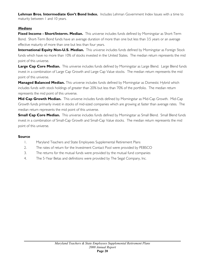**Lehman Bros. Intermediate Gov't Bond Index.** Includes Lehman Government Index Issues with a time to maturity between 1 and 10 years.

## *Medians*

**Fixed Income - Short/Interm. Median.** This universe includes funds defined by Morningstar as Short-Term Bond. Short-Term Bond funds have an average duration of more than one but less than 3.5 years or an average effective maturity of more than one but less than four years.

**International Equity Non-U.S. Median.** This universe includes funds defined by Morningstar as Foreign Stock funds which have no more than 10% of stocks invested in the United States. The median return represents the mid point of this universe.

**Large Cap Core Median.** This universe includes funds defined by Morningstar as Large Blend. Large Blend funds invest in a combination of Large Cap Growth and Large Cap Value stocks. The median return represents the mid point of this universe.

**Managed Balanced Median.** This universe includes funds defined by Morningstar as Domestic Hybrid which includes funds with stock holdings of greater than 20% but less than 70% of the portfolio. The median return represents the mid point of this universe.

**Mid Cap Growth Median.** This universe includes funds defined by Morningstar as Mid-Cap Growth. Mid-Cap Growth funds primarily invest in stocks of mid-sized companies which are growing at faster than average rates. The median return represents the mid point of this universe.

**Small Cap Core Median.** This universe includes funds defined by Morningstar as Small Blend. Small Blend funds invest in a combination of Small-Cap Growth and Small-Cap Value stocks. The median return represents the mid point of this universe.

## **Source**

- 1. Maryland Teachers and State Employees Supplemental Retirement Plans
- 2. The rates of return for the Investment Contact Pool were provided by PEBSCO
- 3. The returns for the mutual funds were provided by the mutual fund companies
- 4. The 5-Year Betas and definitions were provided by The Segal Company, Inc.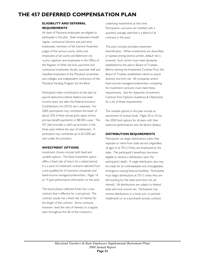# **THE 457 DEFERRED COMPENSATION PLAN**

#### **ELIGIBILITY AND DEFERRAL REQUIREMENTS**

All state of Maryland employees are eligible to participate in this plan. State employees include: regular, contractual full-time and part-time employees, members of the General Assembly; judges of the various courts; clerks and employees of all county and Baltimore city courts; registrars and employees in the Office of the Register of Wills; full-time, part-time and contractual employees; faculty, associate staff and classified employees at the Maryland universities and colleges; and independent contractors of the Maryland Vending Program for the Blind.

Participants make contributions to the plan by payroll deductions before federal and state income taxes, but after the Federal Insurance Contributions Act (FICA) tax is assessed. For 2000, participants may contribute the lesser of about 25% of their annual gross salary (minus pre-tax benefit payments) or \$8,500 a year. The 457 plan provides a catch-up provision in the three years before the year of retirement. A participant may contribute up to \$15,000 per year under this provision.

#### **INVESTMENT OPTIONS**

Investment choices include both fixed and variable options. The fixed investment option offers a fixed rate of return for a stated period. It is a pool of investment contracts selected from a pre-qualified list of insurance companies and fixed-income managers/underwriters. Pages 18 to 19 give performance information on the pool.

The board places collected funds into a new contract that is effective for a set period. The contract usually has a fixed rate of interest for the length of the contract. Some contracts, however, reset the rate of interest on a regular basis throughout the life of the contract=s

underlying investments at that time. Participants= accounts are credited with a quarterly average yield that is a blend of all contracts in the pool.

The pool concept provides investment diversification. When investments are diversified, or spread among several carriers, default risk is lowered. Each carrier must meet standards established by the plan=s Board of Trustees. Before starting the Investment Contract Pool, the Board of Trustees established criteria to assure diversity and limit risk. All companies and/or fixed income managers/underwriters competing for investment contracts must meet these requirements. See the Appendix (Investment Contract Pool Options Guidelines & Objectives) for a list of these requirements.

The variable options in this plan include an assortment of mutual funds. Pages 20 to 22 list the 2000 fund options for all plans with their historical performances and risk factors (betas).

#### **DISTRIBUTION REQUIREMENTS**

Participants can begin distributions when they separate or retire from state service (regardless of age) or at 701/2 if they are employed by the state. The participant's beneficiary becomes eligible to receive a distribution upon the participant's death. A single distribution also may be made for an unforeseeable and unbudgetable emergency causing financial hardship. Participants must begin distributions at 701/2 unless they are still working for the state (and have not yet retired). All distributions are subject to federal, state and local income tax. Participants may receive distributions in a lump sum, in periodic installments or as a purchased annuity contract.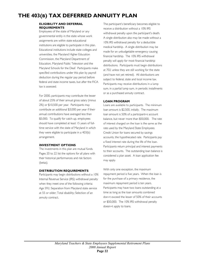# **THE 403(B) TAX DEFERRED ANNUITY PLAN**

#### **ELIGIBILITY AND DEFERRAL REQUIREMENTS**

Employees of the state of Maryland or any governmental entity in the state whose work assignments are within state educational institutions are eligible to participate in this plan. Educational institutions include state colleges and universities, the Maryland Higher Education Commission, the Maryland Department of Education, Maryland Public Television and the Maryland Schools for the Deaf. Participants make specified contributions under this plan by payroll deduction during the regular pay period before federal and state income taxes, but after the FICA tax is assessed.

For 2000, participants may contribute the lesser of about 25% of their annual gross salary (minus 2%) or \$10,500 per year. Participants may contribute an additional \$3,000 per year if their annual contributions have averaged less than \$5,000. To qualify for catch-up, employees should have completed at least 15 years of fulltime service with the state of Maryland in which they were eligible to participate in a 403(b) arrangement.

#### **INVESTMENT OPTIONS**

The investments in this plan are mutual funds. Pages 20 to 22 list the options for all plans with their historical performances and risk factors (betas).

#### **DISTRIBUTION REQUIREMENTS**

Participants may begin distributions without a 10% Internal Revenue Service (IRS) withdrawal penalty when they meet one of the following criteria: Age 592; Separation from Maryland state service at 55 or older; Total disability; Selection of an annuity contract.

The participant's beneficiary becomes eligible to receive a distribution without a 10% IRS withdrawal penalty upon the participant's death. A single distribution also may be made without a 10% IRS withdrawal penalty for a deductible medical hardship. A single distribution may be made for an unbudgetable emergency causing financial hardship. The 10% IRS withdrawal penalty will apply for most financial hardship distributions. Participants must begin distributions at 702 unless they are still working for the state (and have not yet retired). All distributions are subject to federal, state and local income tax. Participants may receive distributions in a lump sum, in a partial lump sum, in periodic installments or as a purchased annuity contract.

#### **LOAN PROGRAM**

Loans are available to participants. The minimum loan amount is \$2,500, initially. The maximum loan amount is 50% of a participant=s account balance, but never more than \$50,000. The rate of interest charged on the loan is the same as the rate used by the Maryland State Employees Credit Union for loans secured by savings accounts, the hypothecated rate. Participants pay a fixed interest rate during the life of the loan. Participants return principal and interest payments to their accounts. The outstanding loan balance is considered a plan asset. A loan application fee may apply.

With only one exception, the maximum repayment period is five years. When the loan is for the purchase of a primary residence, the maximum repayment period is ten years. Participants may have two loans outstanding at a time as long as the loan amounts combined don=t exceed the lesser of 50% of their accounts or \$50,000. The 10% IRS withdrawal penalty doesn=t apply to loans.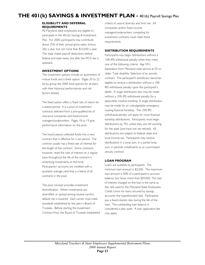# **THE 401(k) SAVINGS & INVESTMENT PLAN -** 401(k) Payroll Savings Plan

#### **ELIGIBILITY AND DEFERRAL REQUIREMENTS**

All Maryland state employees are eligible to participate in the 401(k) Savings & Investment Plan. For 2000, participants may contribute about 25% of their annual gross salary (minus 2%) a year, but not more than \$10,500 a year. The state makes payroll deductions before federal and state taxes, but after the FICA tax is assessed.

#### **INVESTMENT OPTIONS**

The investment options include an assortment of mutual funds and a fixed option. Pages 20 to 22 list by group the 2000 fund options for all plans with their historical performances and risk factors (betas).

The fixed option offers a fixed rate of return for a stated period. It is a pool of investment contracts selected from a pre-qualified list of insurance companies and fixed-income managers/underwriters. Pages 18 to 19 give performance information on the pool.

The board places collected funds into a new contract that is effective for a set period. The contract usually has a fixed rate of interest for the length of the contract. Some contracts, however, reset the rate of interest on a regular basis throughout the life of the contract=s underlying investments at that time. Participants= accounts are credited with a quarterly average yield that is a blend of all contracts in the pool.

The pool concept provides investment diversification. When investments are diversified, or spread among several carriers, default risk is lowered. Each carrier must meet standards established by the plan=s Board of Trustees. Before starting the Investment Contract Pool, the Board of Trustees established criteria to assure diversity and limit risk. All companies and/or fixed income managers/underwriters competing for investment contracts must meet these requirements.

#### **DISTRIBUTION REQUIREMENTS**

Participants may begin distributions without a 10% IRS withdrawal penalty when they meet one of the following criteria: Age 592; Separation from Maryland state service at 55 or older; Total disability; Selection of an annuity contract. The participant's beneficiary becomes eligible to receive a distribution without a 10% IRS withdrawal penalty upon the participant's death. A single distribution also may be made without a 10% IRS withdrawal penalty for a deductible medical hardship. A single distribution may be made for an unbudgetable emergency causing financial hardship. The 10% IRS withdrawal penalty will apply for most financial hardship distributions. Participants must begin distributions by 702 unless they are still working for the state (and have not yet retired). All distributions are subject to federal, state and local income tax. Participants may receive distributions in a lump sum, in a partial lump sum, in periodic installments or as a purchased annuity contract.

#### **LOAN PROGRAM**

Loans are available to participants. The minimum loan amount is \$2,500. The maximum loan amount is 50% of a participant=s account balance, but never more than \$50,000. The rate of interest charged on the loan is the same as the rate used by the Maryland State Employees Credit Union for loans secured by savings accounts, the hypothecated rate. Participants pay a fixed interest rate during the life of the loan. The outstanding loan balance is considered a plan asset. A loan application fee may apply.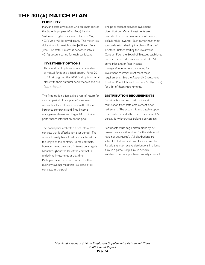# **THE 401(A) MATCH PLAN**

### **ELIGIBILITY**

Maryland state employees who are members of the State Employees AModified@ Pension System are eligible for a match to their 457, 403(b),and 401(k) payroll plans. The match is a dollar-for-dollar match up to \$600 each fiscal year. The state=s match is deposited into a 401(a) account set up for each participant.

#### **INVESTMENT OPTIONS**

The investment options include an assortment of mutual funds and a fixed option. Pages 20 to 22 list by group the 2000 fund options for all plans with their historical performances and risk factors (betas).

The fixed option offers a fixed rate of return for a stated period. It is a pool of investment contracts selected from a pre-qualified list of insurance companies and fixed-income managers/underwriters. Pages 18 to 19 give performance information on the pool.

The board places collected funds into a new contract that is effective for a set period. The contract usually has a fixed rate of interest for the length of the contract. Some contracts, however, reset the rate of interest on a regular basis throughout the life of the contract=s underlying investments at that time. Participants= accounts are credited with a quarterly average yield that is a blend of all contracts in the pool.

The pool concept provides investment diversification. When investments are diversified, or spread among several carriers, default risk is lowered. Each carrier must meet standards established by the plan=s Board of Trustees. Before starting the Investment Contract Pool, the Board of Trustees established criteria to assure diversity and limit risk. All companies and/or fixed income managers/underwriters competing for investment contracts must meet these requirements. See the Appendix (Investment Contract Pool Options Guidelines & Objectives) for a list of these requirements.

#### **DISTRIBUTION REQUIREMENTS**

Participants may begin distributions at termination from state employment or at retirement. The account is also payable upon total disability or death. There may be an IRS penalty for withdrawals before a certain age.

Participants must begin distributions by 702 unless they are still working for the state (and have not yet retired). All distributions are subject to federal, state and local income tax. Participants may receive distributions in a lump sum, in a partial lump sum, in periodic installments or as a purchased annuity contract.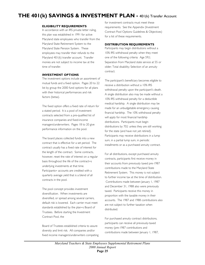# **THE 401(k) SAVINGS & INVESTMENT PLAN -** 401(k) Transfer Account

#### **ELIGIBILITY REQUIREMENTS**

In accordance with an IRS private letter ruling, this plan was established in 1991 for active Maryland state employees who transfer from the Maryland State Retirement System to the Maryland State Pension System. These employees may transfer their refunds to the Maryland 401(k) transfer account. Transfer monies are not subject to income tax at the time of transfer.

#### **INVESTMENT OPTIONS**

The investment options include an assortment of mutual funds and a fixed option. Pages 20 to 22 list by group the 2000 fund options for all plans with their historical performances and risk factors (betas).

The fixed option offers a fixed rate of return for a stated period. It is a pool of investment contracts selected from a pre-qualified list of insurance companies and fixed-income managers/underwriters. Pages 18 to 20 give performance information on the pool.

The board places collected funds into a new contract that is effective for a set period. The contract usually has a fixed rate of interest for the length of the contract. Some contracts, however, reset the rate of interest on a regular basis throughout the life of the contract=s underlying investments at that time. Participants= accounts are credited with a quarterly average yield that is a blend of all contracts in the pool.

The pool concept provides investment diversification. When investments are diversified, or spread among several carriers, default risk is lowered. Each carrier must meet standards established by the plan=s Board of Trustees. Before starting the Investment Contract Pool, the

Board of Trustees established criteria to assure diversity and limit risk. All companies and/or fixed income managers/underwriters competing for investment contracts must meet these requirements. See the Appendix (Investment Contract Pool Options Guidelines & Objectives) for a list of these requirements.

#### **DISTRIBUTION REQUIREMENTS**

Participants may begin distributions without a 10% IRS withdrawal penalty when they meet one of the following criteria: Age 592; Separation from Maryland state service at 55 or older; Total disability; Selection of an annuity contract.

The participant's beneficiary becomes eligible to receive a distribution without a 10% IRS withdrawal penalty upon the participant's death. A single distribution also may be made without a 10% IRS withdrawal penalty for a deductible medical hardship. A single distribution may be made for an unbudgetable emergency causing financial hardship. The 10% withdrawal penalty will apply for most financial hardship distributions. Participants must begin distributions by 702 unless they are still working for the state (and have not yet retired). Participants may receive distributions in a lump sum, in a partial lump sum, in periodic installments or as a purchased annuity contract.

For all distributions, except purchased annuity contracts, participants first receive money in their accounts from previously taxed pre-1987 contributions made to the Maryland State Retirement System. This money is not subject to further income tax at the time of distribution. Contributions made between January 1, 1987 and December 31, 1988 also were previously taxed. Participants receive this money in proportion with the taxable money in their accounts. The 1987 and 1988 contributions also are not subject to further taxation when distributed.

For purchased annuity contract distributions, participants can receive all previously-taxed money (pre-1987 contributions and contributions made between January 1, 1987,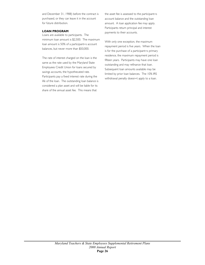and December 31, 1988) before the contract is purchased, or they can leave it in the account for future distribution.

#### **LOAN PROGRAM**

Loans are available to participants. The minimum loan amount is \$2,500. The maximum loan amount is 50% of a participant=s account balances, but never more than \$50,000.

The rate of interest charged on the loan is the same as the rate used by the Maryland State Employees Credit Union for loans secured by savings accounts, the hypothecated rate. Participants pay a fixed interest rate during the life of the loan. The outstanding loan balance is considered a plan asset and will be liable for its share of the annual asset fee. This means that

the asset fee is assessed to the participant=s account balance and the outstanding loan amount. A loan application fee may apply. Participants return principal and interest payments to their accounts.

With only one exception, the maximum repayment period is five years. When the loan is for the purchase of a participant=s primary residence, the maximum repayment period is fifteen years. Participants may have one loan outstanding and may refinance that loan. Subsequent loan amounts available may be limited by prior loan balances. The 10% IRS withdrawal penalty doesn=t apply to a loan.